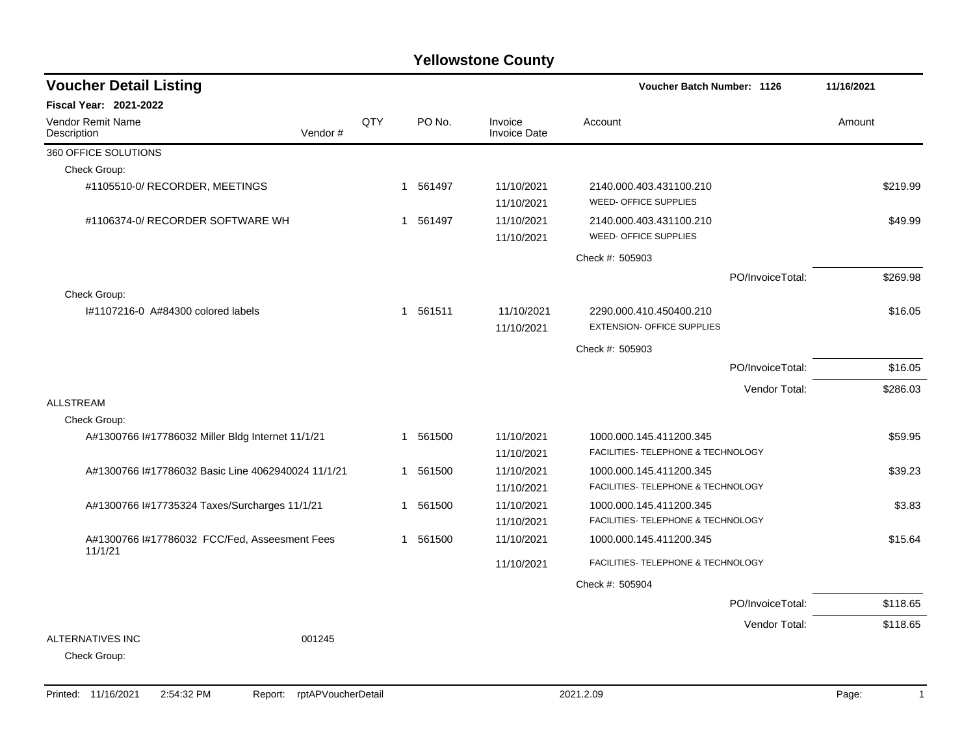| <b>Voucher Detail Listing</b>           |                                                    |     |             |                                | Voucher Batch Number: 1126                                    |                  | 11/16/2021 |
|-----------------------------------------|----------------------------------------------------|-----|-------------|--------------------------------|---------------------------------------------------------------|------------------|------------|
| <b>Fiscal Year: 2021-2022</b>           |                                                    |     |             |                                |                                                               |                  |            |
| <b>Vendor Remit Name</b><br>Description | Vendor#                                            | QTY | PO No.      | Invoice<br><b>Invoice Date</b> | Account                                                       |                  | Amount     |
| 360 OFFICE SOLUTIONS                    |                                                    |     |             |                                |                                                               |                  |            |
| Check Group:                            |                                                    |     |             |                                |                                                               |                  |            |
| #1105510-0/ RECORDER, MEETINGS          |                                                    |     | 561497<br>1 | 11/10/2021<br>11/10/2021       | 2140.000.403.431100.210<br><b>WEED- OFFICE SUPPLIES</b>       |                  | \$219.99   |
| #1106374-0/ RECORDER SOFTWARE WH        |                                                    |     | 1 561497    | 11/10/2021<br>11/10/2021       | 2140.000.403.431100.210<br>WEED- OFFICE SUPPLIES              |                  | \$49.99    |
|                                         |                                                    |     |             |                                | Check #: 505903                                               |                  |            |
|                                         |                                                    |     |             |                                |                                                               | PO/InvoiceTotal: | \$269.98   |
| Check Group:                            |                                                    |     |             |                                |                                                               |                  |            |
| #1107216-0 A#84300 colored labels       |                                                    |     | 1 561511    | 11/10/2021<br>11/10/2021       | 2290.000.410.450400.210<br><b>EXTENSION- OFFICE SUPPLIES</b>  |                  | \$16.05    |
|                                         |                                                    |     |             |                                | Check #: 505903                                               |                  |            |
|                                         |                                                    |     |             |                                |                                                               | PO/InvoiceTotal: | \$16.05    |
|                                         |                                                    |     |             |                                |                                                               | Vendor Total:    | \$286.03   |
| <b>ALLSTREAM</b>                        |                                                    |     |             |                                |                                                               |                  |            |
| Check Group:                            |                                                    |     |             |                                |                                                               |                  |            |
|                                         | A#1300766 I#17786032 Miller Bldg Internet 11/1/21  |     | 1 561500    | 11/10/2021<br>11/10/2021       | 1000.000.145.411200.345<br>FACILITIES- TELEPHONE & TECHNOLOGY |                  | \$59.95    |
|                                         | A#1300766 l#17786032 Basic Line 4062940024 11/1/21 |     | 1 561500    | 11/10/2021                     | 1000.000.145.411200.345                                       |                  | \$39.23    |
|                                         |                                                    |     |             | 11/10/2021                     | FACILITIES- TELEPHONE & TECHNOLOGY                            |                  |            |
|                                         | A#1300766 I#17735324 Taxes/Surcharges 11/1/21      |     | 561500<br>1 | 11/10/2021                     | 1000.000.145.411200.345                                       |                  | \$3.83     |
|                                         |                                                    |     |             | 11/10/2021                     | FACILITIES- TELEPHONE & TECHNOLOGY                            |                  |            |
| 11/1/21                                 | A#1300766 I#17786032 FCC/Fed, Asseesment Fees      |     | 561500<br>1 | 11/10/2021                     | 1000.000.145.411200.345                                       |                  | \$15.64    |
|                                         |                                                    |     |             | 11/10/2021                     | FACILITIES- TELEPHONE & TECHNOLOGY                            |                  |            |
|                                         |                                                    |     |             |                                | Check #: 505904                                               |                  |            |
|                                         |                                                    |     |             |                                |                                                               | PO/InvoiceTotal: | \$118.65   |
|                                         |                                                    |     |             |                                |                                                               | Vendor Total:    | \$118.65   |
| ALTERNATIVES INC<br>Check Group:        | 001245                                             |     |             |                                |                                                               |                  |            |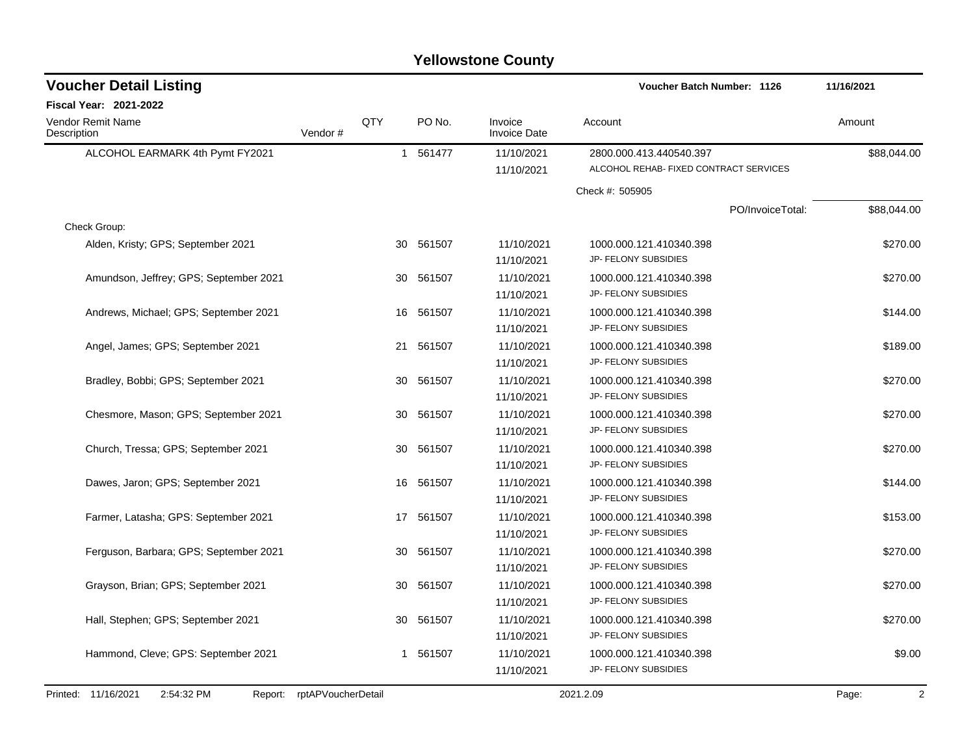| <b>Voucher Detail Listing</b>               |         |     |              |                     | Voucher Batch Number: 1126             | 11/16/2021  |
|---------------------------------------------|---------|-----|--------------|---------------------|----------------------------------------|-------------|
| Fiscal Year: 2021-2022<br>Vendor Remit Name |         | QTY | PO No.       | Invoice             | Account                                | Amount      |
| Description                                 | Vendor# |     |              | <b>Invoice Date</b> |                                        |             |
| ALCOHOL EARMARK 4th Pymt FY2021             |         |     | 1 561477     | 11/10/2021          | 2800.000.413.440540.397                | \$88,044.00 |
|                                             |         |     |              | 11/10/2021          | ALCOHOL REHAB- FIXED CONTRACT SERVICES |             |
|                                             |         |     |              |                     | Check #: 505905                        |             |
|                                             |         |     |              |                     | PO/InvoiceTotal:                       | \$88,044.00 |
| Check Group:                                |         |     |              |                     |                                        |             |
| Alden, Kristy; GPS; September 2021          |         | 30  | 561507       | 11/10/2021          | 1000.000.121.410340.398                | \$270.00    |
|                                             |         |     |              | 11/10/2021          | JP- FELONY SUBSIDIES                   |             |
| Amundson, Jeffrey; GPS; September 2021      |         | 30  | 561507       | 11/10/2021          | 1000.000.121.410340.398                | \$270.00    |
|                                             |         |     |              | 11/10/2021          | JP- FELONY SUBSIDIES                   |             |
| Andrews, Michael; GPS; September 2021       |         | 16  | 561507       | 11/10/2021          | 1000.000.121.410340.398                | \$144.00    |
|                                             |         |     |              | 11/10/2021          | JP- FELONY SUBSIDIES                   |             |
| Angel, James; GPS; September 2021           |         | 21  | 561507       | 11/10/2021          | 1000.000.121.410340.398                | \$189.00    |
|                                             |         |     |              | 11/10/2021          | JP- FELONY SUBSIDIES                   |             |
| Bradley, Bobbi; GPS; September 2021         |         | 30  | 561507       | 11/10/2021          | 1000.000.121.410340.398                | \$270.00    |
|                                             |         |     |              | 11/10/2021          | JP- FELONY SUBSIDIES                   |             |
| Chesmore, Mason; GPS; September 2021        |         | 30  | 561507       | 11/10/2021          | 1000.000.121.410340.398                | \$270.00    |
|                                             |         |     |              | 11/10/2021          | JP- FELONY SUBSIDIES                   |             |
| Church, Tressa; GPS; September 2021         |         | 30  | 561507       | 11/10/2021          | 1000.000.121.410340.398                | \$270.00    |
|                                             |         |     |              | 11/10/2021          | JP- FELONY SUBSIDIES                   |             |
| Dawes, Jaron; GPS; September 2021           |         | 16  | 561507       | 11/10/2021          | 1000.000.121.410340.398                | \$144.00    |
|                                             |         |     |              | 11/10/2021          | JP- FELONY SUBSIDIES                   |             |
| Farmer, Latasha; GPS: September 2021        |         |     | 561507<br>17 | 11/10/2021          | 1000.000.121.410340.398                | \$153.00    |
|                                             |         |     |              | 11/10/2021          | JP- FELONY SUBSIDIES                   |             |
| Ferguson, Barbara; GPS; September 2021      |         | 30  | 561507       | 11/10/2021          | 1000.000.121.410340.398                | \$270.00    |
|                                             |         |     |              | 11/10/2021          | JP- FELONY SUBSIDIES                   |             |
| Grayson, Brian; GPS; September 2021         |         | 30  | 561507       | 11/10/2021          | 1000.000.121.410340.398                | \$270.00    |
|                                             |         |     |              | 11/10/2021          | JP- FELONY SUBSIDIES                   |             |
| Hall, Stephen; GPS; September 2021          |         | 30  | 561507       | 11/10/2021          | 1000.000.121.410340.398                | \$270.00    |
|                                             |         |     |              | 11/10/2021          | JP- FELONY SUBSIDIES                   |             |
| Hammond, Cleve; GPS: September 2021         |         |     | 561507<br>1  | 11/10/2021          | 1000.000.121.410340.398                | \$9.00      |
|                                             |         |     |              | 11/10/2021          | JP- FELONY SUBSIDIES                   |             |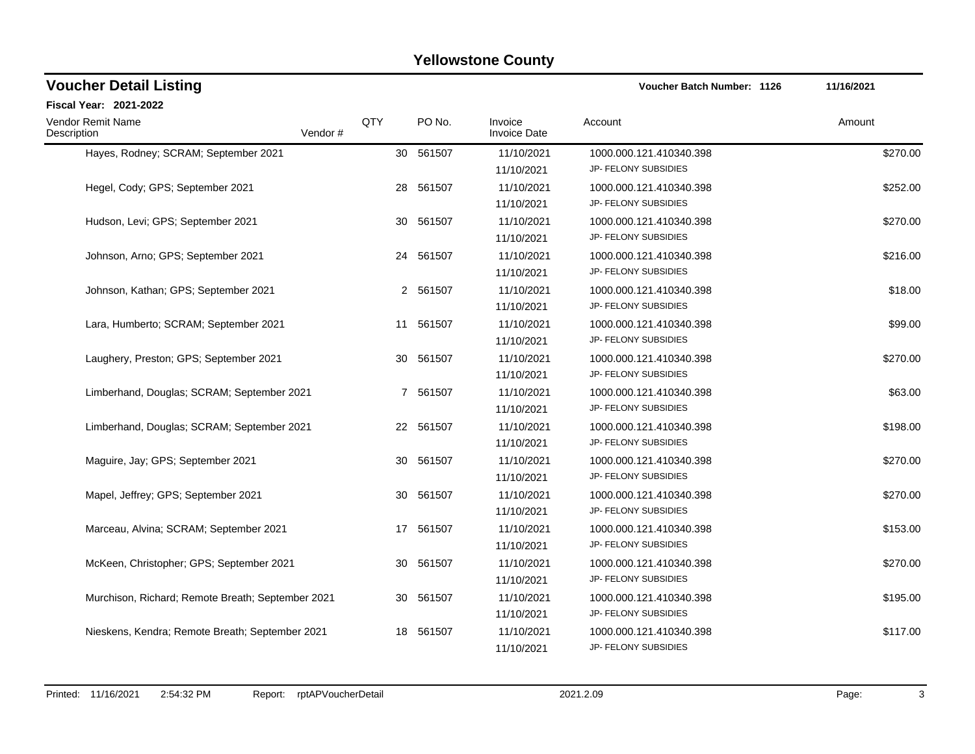| <b>Voucher Detail Listing</b>                     |                |    |           |                                | <b>Voucher Batch Number: 1126</b>               | 11/16/2021 |
|---------------------------------------------------|----------------|----|-----------|--------------------------------|-------------------------------------------------|------------|
| Fiscal Year: 2021-2022                            |                |    |           |                                |                                                 |            |
| Vendor Remit Name<br>Description                  | QTY<br>Vendor# |    | PO No.    | Invoice<br><b>Invoice Date</b> | Account                                         | Amount     |
| Hayes, Rodney; SCRAM; September 2021              |                | 30 | 561507    | 11/10/2021<br>11/10/2021       | 1000.000.121.410340.398<br>JP- FELONY SUBSIDIES | \$270.00   |
| Hegel, Cody; GPS; September 2021                  |                | 28 | 561507    | 11/10/2021<br>11/10/2021       | 1000.000.121.410340.398<br>JP- FELONY SUBSIDIES | \$252.00   |
| Hudson, Levi; GPS; September 2021                 |                | 30 | 561507    | 11/10/2021<br>11/10/2021       | 1000.000.121.410340.398<br>JP- FELONY SUBSIDIES | \$270.00   |
| Johnson, Arno; GPS; September 2021                |                |    | 24 561507 | 11/10/2021<br>11/10/2021       | 1000.000.121.410340.398<br>JP- FELONY SUBSIDIES | \$216.00   |
| Johnson, Kathan; GPS; September 2021              |                |    | 2 561507  | 11/10/2021<br>11/10/2021       | 1000.000.121.410340.398<br>JP- FELONY SUBSIDIES | \$18.00    |
| Lara, Humberto; SCRAM; September 2021             |                | 11 | 561507    | 11/10/2021<br>11/10/2021       | 1000.000.121.410340.398<br>JP- FELONY SUBSIDIES | \$99.00    |
| Laughery, Preston; GPS; September 2021            |                |    | 30 561507 | 11/10/2021<br>11/10/2021       | 1000.000.121.410340.398<br>JP- FELONY SUBSIDIES | \$270.00   |
| Limberhand, Douglas; SCRAM; September 2021        |                |    | 7 561507  | 11/10/2021<br>11/10/2021       | 1000.000.121.410340.398<br>JP- FELONY SUBSIDIES | \$63.00    |
| Limberhand, Douglas; SCRAM; September 2021        |                |    | 22 561507 | 11/10/2021<br>11/10/2021       | 1000.000.121.410340.398<br>JP- FELONY SUBSIDIES | \$198.00   |
| Maguire, Jay; GPS; September 2021                 |                | 30 | 561507    | 11/10/2021<br>11/10/2021       | 1000.000.121.410340.398<br>JP- FELONY SUBSIDIES | \$270.00   |
| Mapel, Jeffrey; GPS; September 2021               |                | 30 | 561507    | 11/10/2021<br>11/10/2021       | 1000.000.121.410340.398<br>JP- FELONY SUBSIDIES | \$270.00   |
| Marceau, Alvina; SCRAM; September 2021            |                |    | 17 561507 | 11/10/2021<br>11/10/2021       | 1000.000.121.410340.398<br>JP- FELONY SUBSIDIES | \$153.00   |
| McKeen, Christopher; GPS; September 2021          |                | 30 | 561507    | 11/10/2021<br>11/10/2021       | 1000.000.121.410340.398<br>JP- FELONY SUBSIDIES | \$270.00   |
| Murchison, Richard; Remote Breath; September 2021 |                | 30 | 561507    | 11/10/2021<br>11/10/2021       | 1000.000.121.410340.398<br>JP- FELONY SUBSIDIES | \$195.00   |
| Nieskens, Kendra; Remote Breath; September 2021   |                | 18 | 561507    | 11/10/2021<br>11/10/2021       | 1000.000.121.410340.398<br>JP- FELONY SUBSIDIES | \$117.00   |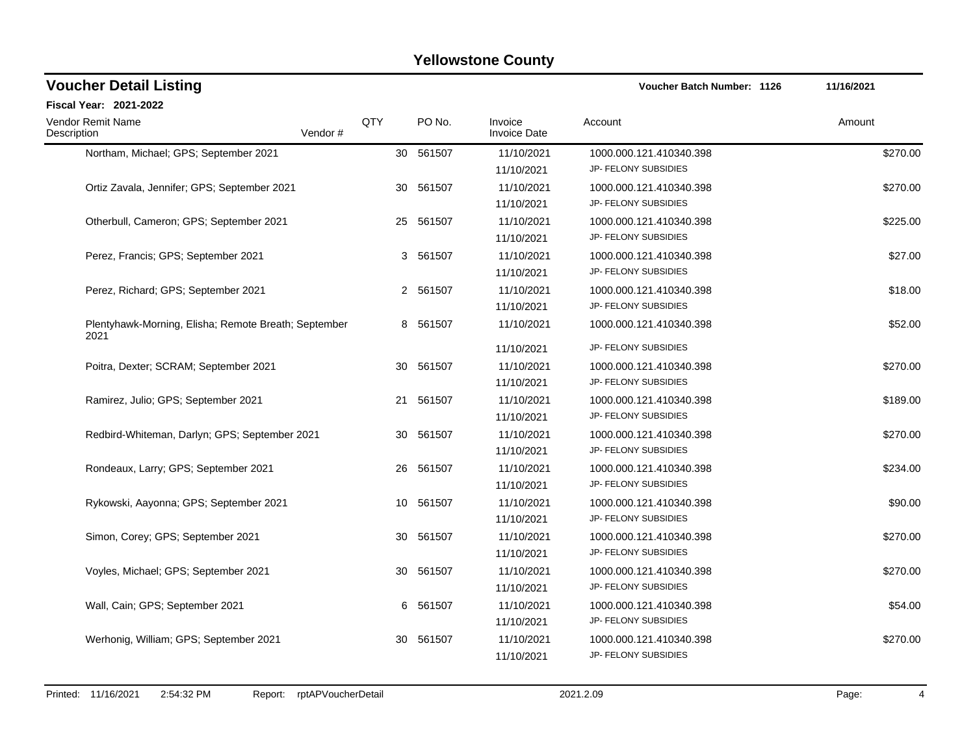| <b>Voucher Detail Listing</b>                                |                |           |                                        | Voucher Batch Number: 1126                                              | 11/16/2021 |
|--------------------------------------------------------------|----------------|-----------|----------------------------------------|-------------------------------------------------------------------------|------------|
| <b>Fiscal Year: 2021-2022</b>                                |                |           |                                        |                                                                         |            |
| <b>Vendor Remit Name</b><br>Vendor#<br>Description           | QTY            | PO No.    | Invoice<br><b>Invoice Date</b>         | Account                                                                 | Amount     |
| Northam, Michael; GPS; September 2021                        |                | 30 561507 | 11/10/2021<br>11/10/2021               | 1000.000.121.410340.398<br>JP- FELONY SUBSIDIES                         | \$270.00   |
| Ortiz Zavala, Jennifer; GPS; September 2021                  | 30             | 561507    | 11/10/2021<br>11/10/2021               | 1000.000.121.410340.398<br>JP- FELONY SUBSIDIES                         | \$270.00   |
| Otherbull, Cameron; GPS; September 2021                      |                | 25 561507 | 11/10/2021<br>11/10/2021               | 1000.000.121.410340.398<br>JP- FELONY SUBSIDIES                         | \$225.00   |
| Perez, Francis; GPS; September 2021                          | 3              | 561507    | 11/10/2021<br>11/10/2021               | 1000.000.121.410340.398<br>JP- FELONY SUBSIDIES                         | \$27.00    |
| Perez, Richard; GPS; September 2021                          | $\overline{2}$ | 561507    | 11/10/2021<br>11/10/2021               | 1000.000.121.410340.398<br>JP- FELONY SUBSIDIES                         | \$18.00    |
| Plentyhawk-Morning, Elisha; Remote Breath; September<br>2021 |                | 8 561507  | 11/10/2021                             | 1000.000.121.410340.398                                                 | \$52.00    |
| Poitra, Dexter; SCRAM; September 2021                        | 30             | 561507    | 11/10/2021<br>11/10/2021<br>11/10/2021 | JP- FELONY SUBSIDIES<br>1000.000.121.410340.398<br>JP- FELONY SUBSIDIES | \$270.00   |
| Ramirez, Julio; GPS; September 2021                          | 21             | 561507    | 11/10/2021<br>11/10/2021               | 1000.000.121.410340.398<br>JP- FELONY SUBSIDIES                         | \$189.00   |
| Redbird-Whiteman, Darlyn; GPS; September 2021                |                | 30 561507 | 11/10/2021<br>11/10/2021               | 1000.000.121.410340.398<br>JP- FELONY SUBSIDIES                         | \$270.00   |
| Rondeaux, Larry; GPS; September 2021                         | 26             | 561507    | 11/10/2021<br>11/10/2021               | 1000.000.121.410340.398<br>JP- FELONY SUBSIDIES                         | \$234.00   |
| Rykowski, Aayonna; GPS; September 2021                       | 10             | 561507    | 11/10/2021<br>11/10/2021               | 1000.000.121.410340.398<br>JP- FELONY SUBSIDIES                         | \$90.00    |
| Simon, Corey; GPS; September 2021                            |                | 30 561507 | 11/10/2021<br>11/10/2021               | 1000.000.121.410340.398<br>JP- FELONY SUBSIDIES                         | \$270.00   |
| Voyles, Michael; GPS; September 2021                         | 30             | 561507    | 11/10/2021<br>11/10/2021               | 1000.000.121.410340.398<br>JP- FELONY SUBSIDIES                         | \$270.00   |
| Wall, Cain; GPS; September 2021                              | 6              | 561507    | 11/10/2021<br>11/10/2021               | 1000.000.121.410340.398<br>JP- FELONY SUBSIDIES                         | \$54.00    |
| Werhonig, William; GPS; September 2021                       | 30             | 561507    | 11/10/2021<br>11/10/2021               | 1000.000.121.410340.398<br>JP- FELONY SUBSIDIES                         | \$270.00   |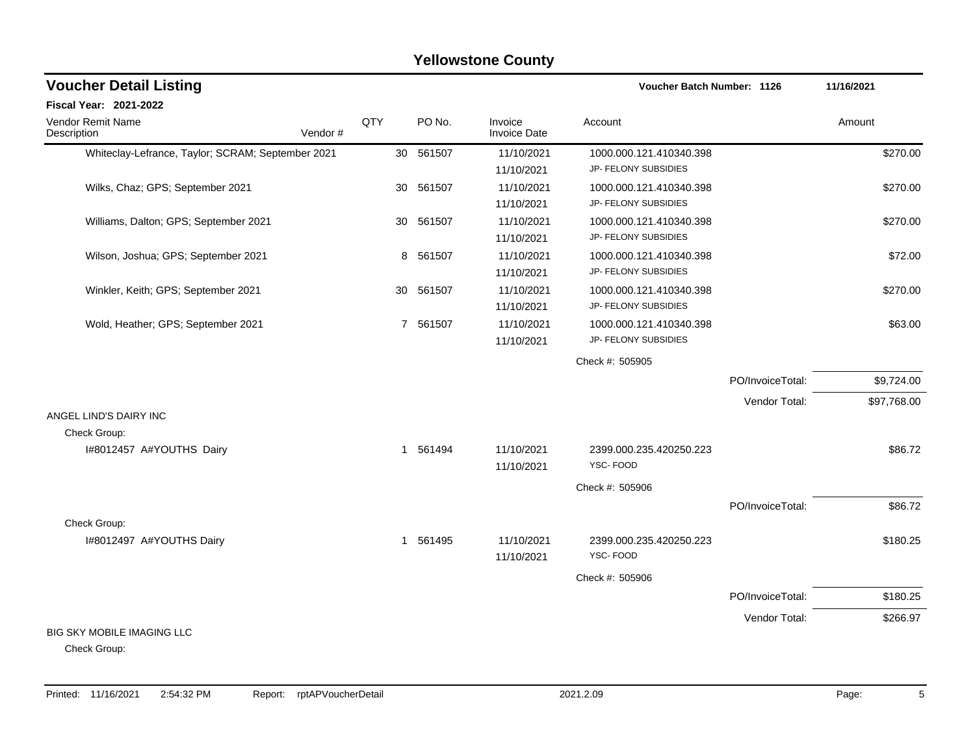#### Whiteclay-Lefrance, Taylor; SCRAM; September 2021 30 561507 11/10/2021 1000.000.121.410340.398 \$270.00 11/10/2021 JP- FELONY SUBSIDIES Wilks, Chaz; GPS; September 2021 1000.000.000.121.410340.398 3270.00 11/10/2021 JP- FELONY SUBSIDIES Williams, Dalton; GPS; September 2021 1000.601507 11/10/2021 1000.000.121.410340.398 5670.00 11/10/2021 JP- FELONY SUBSIDIES Wilson, Joshua; GPS: September 2021 1000.000.000.000.121.410340.398 372.00 11/10/2021 JP- FELONY SUBSIDIES Winkler, Keith; GPS; September 2021 1000.000.000.000.121.410340.398 3270.00 11/10/2021 JP- FELONY SUBSIDIES Wold, Heather; GPS; September 2021 17 561507 11/10/2021 1000.000.121.410340.398 \$63.00 11/10/2021 JP- FELONY SUBSIDIES Check #: 505905 PO/InvoiceTotal: \$9,724.00 Vendor Total: \$97,768.00 ANGEL LIND'S DAIRY INC Check Group: I#8012457 A#YOUTHS Dairy 1 561494 11/10/2021 2399.000.235.420250.223 \$86.72 11/10/2021 YSC- FOOD Check #: 505906 PO/InvoiceTotal: \$86.72 Check Group: I#8012497 A#YOUTHS Dairy 1 561495 11/10/2021 2399.000.235.420250.223 \$180.25 11/10/2021 YSC- FOOD Check #: 505906 PO/InvoiceTotal: \$180.25 Vendor Total: \$266.97 BIG SKY MOBILE IMAGING LLC **Voucher Batch Number: Yellowstone County** Vendor Remit Name **Description Voucher Detail Listing Fiscal Year: 2021-2022 1126 11/16/2021** PO No. Invoice Account Amount Amount Amount Amount Vendor # **QTY** Invoice Date

Check Group: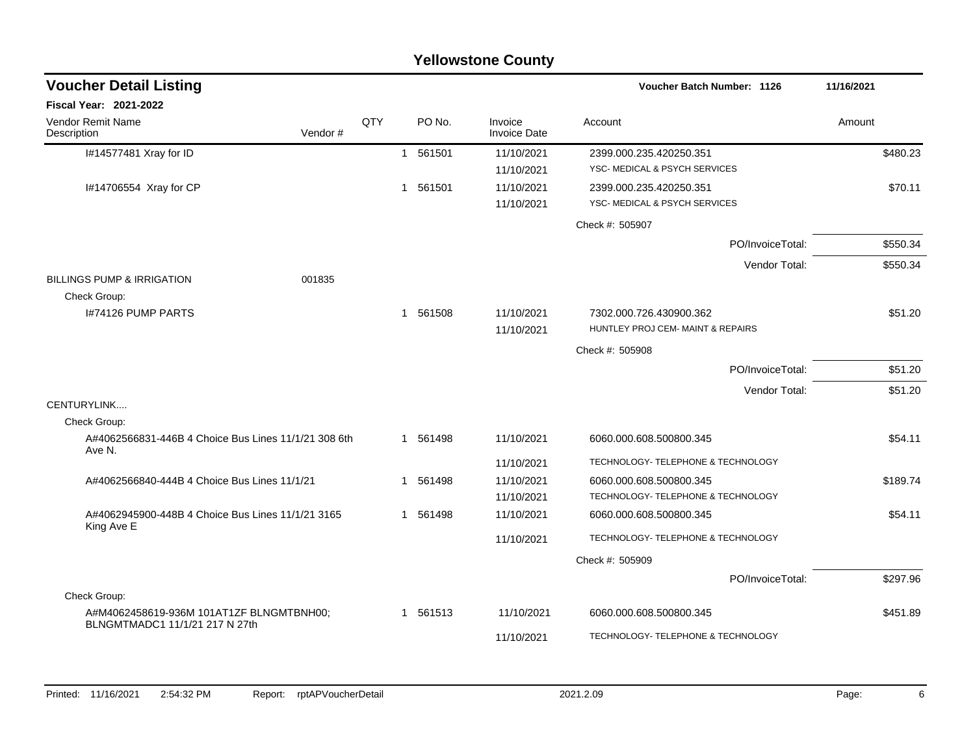|                                                                                |         |     |              |          | <b>Yellowstone County</b>      |                                                              |            |
|--------------------------------------------------------------------------------|---------|-----|--------------|----------|--------------------------------|--------------------------------------------------------------|------------|
| <b>Voucher Detail Listing</b>                                                  |         |     |              |          |                                | Voucher Batch Number: 1126                                   | 11/16/2021 |
| <b>Fiscal Year: 2021-2022</b>                                                  |         |     |              |          |                                |                                                              |            |
| Vendor Remit Name<br>Description                                               | Vendor# | QTY |              | PO No.   | Invoice<br><b>Invoice Date</b> | Account                                                      | Amount     |
| I#14577481 Xray for ID                                                         |         |     |              | 1 561501 | 11/10/2021<br>11/10/2021       | 2399.000.235.420250.351<br>YSC- MEDICAL & PSYCH SERVICES     | \$480.23   |
| I#14706554 Xray for CP                                                         |         |     | $\mathbf{1}$ | 561501   | 11/10/2021<br>11/10/2021       | 2399.000.235.420250.351<br>YSC- MEDICAL & PSYCH SERVICES     | \$70.11    |
|                                                                                |         |     |              |          |                                | Check #: 505907                                              |            |
|                                                                                |         |     |              |          |                                | PO/InvoiceTotal:                                             | \$550.34   |
| <b>BILLINGS PUMP &amp; IRRIGATION</b>                                          | 001835  |     |              |          |                                | Vendor Total:                                                | \$550.34   |
| Check Group:<br>I#74126 PUMP PARTS                                             |         |     |              | 1 561508 | 11/10/2021<br>11/10/2021       | 7302.000.726.430900.362<br>HUNTLEY PROJ CEM- MAINT & REPAIRS | \$51.20    |
|                                                                                |         |     |              |          |                                | Check #: 505908                                              |            |
|                                                                                |         |     |              |          |                                | PO/InvoiceTotal:                                             | \$51.20    |
|                                                                                |         |     |              |          |                                | Vendor Total:                                                | \$51.20    |
| CENTURYLINK                                                                    |         |     |              |          |                                |                                                              |            |
| Check Group:<br>A#4062566831-446B 4 Choice Bus Lines 11/1/21 308 6th<br>Ave N. |         |     |              | 1 561498 | 11/10/2021                     | 6060.000.608.500800.345                                      | \$54.11    |
|                                                                                |         |     |              |          | 11/10/2021                     | TECHNOLOGY- TELEPHONE & TECHNOLOGY                           |            |
| A#4062566840-444B 4 Choice Bus Lines 11/1/21                                   |         |     | $\mathbf{1}$ | 561498   | 11/10/2021                     | 6060.000.608.500800.345                                      | \$189.74   |
|                                                                                |         |     |              |          | 11/10/2021                     | TECHNOLOGY- TELEPHONE & TECHNOLOGY                           |            |
| A#4062945900-448B 4 Choice Bus Lines 11/1/21 3165<br>King Ave E                |         |     |              | 1 561498 | 11/10/2021                     | 6060.000.608.500800.345                                      | \$54.11    |
|                                                                                |         |     |              |          | 11/10/2021                     | TECHNOLOGY- TELEPHONE & TECHNOLOGY                           |            |
|                                                                                |         |     |              |          |                                | Check #: 505909                                              |            |
|                                                                                |         |     |              |          |                                | PO/InvoiceTotal:                                             | \$297.96   |
| Check Group:                                                                   |         |     |              |          |                                |                                                              |            |
| A#M4062458619-936M 101AT1ZF BLNGMTBNH00;<br>BLNGMTMADC1 11/1/21 217 N 27th     |         |     | $\mathbf{1}$ | 561513   | 11/10/2021                     | 6060.000.608.500800.345                                      | \$451.89   |
|                                                                                |         |     |              |          | 11/10/2021                     | TECHNOLOGY- TELEPHONE & TECHNOLOGY                           |            |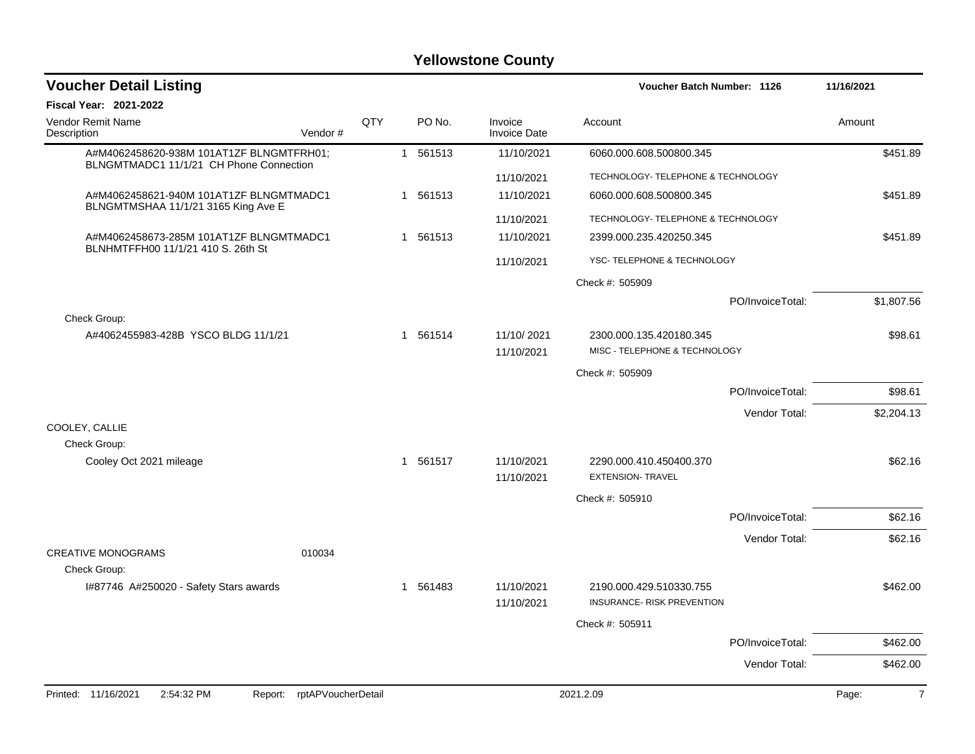| <b>Voucher Detail Listing</b>                                                       |                    |          |                                | <b>Voucher Batch Number: 1126</b>                        |                  | 11/16/2021              |
|-------------------------------------------------------------------------------------|--------------------|----------|--------------------------------|----------------------------------------------------------|------------------|-------------------------|
| <b>Fiscal Year: 2021-2022</b>                                                       |                    |          |                                |                                                          |                  |                         |
| <b>Vendor Remit Name</b><br>Description<br>Vendor#                                  | QTY                | PO No.   | Invoice<br><b>Invoice Date</b> | Account                                                  |                  | Amount                  |
| A#M4062458620-938M 101AT1ZF BLNGMTFRH01;<br>BLNGMTMADC1 11/1/21 CH Phone Connection |                    | 1 561513 | 11/10/2021                     | 6060.000.608.500800.345                                  |                  | \$451.89                |
|                                                                                     |                    |          | 11/10/2021                     | TECHNOLOGY- TELEPHONE & TECHNOLOGY                       |                  |                         |
| A#M4062458621-940M 101AT1ZF BLNGMTMADC1<br>BLNGMTMSHAA 11/1/21 3165 King Ave E      |                    | 1 561513 | 11/10/2021                     | 6060.000.608.500800.345                                  |                  | \$451.89                |
|                                                                                     |                    |          | 11/10/2021                     | TECHNOLOGY- TELEPHONE & TECHNOLOGY                       |                  |                         |
| A#M4062458673-285M 101AT1ZF BLNGMTMADC1<br>BLNHMTFFH00 11/1/21 410 S. 26th St       |                    | 1 561513 | 11/10/2021                     | 2399.000.235.420250.345                                  |                  | \$451.89                |
|                                                                                     |                    |          | 11/10/2021                     | YSC- TELEPHONE & TECHNOLOGY                              |                  |                         |
|                                                                                     |                    |          |                                | Check #: 505909                                          |                  |                         |
|                                                                                     |                    |          |                                |                                                          | PO/InvoiceTotal: | \$1,807.56              |
| Check Group:<br>A#4062455983-428B YSCO BLDG 11/1/21                                 |                    | 1 561514 | 11/10/2021<br>11/10/2021       | 2300.000.135.420180.345<br>MISC - TELEPHONE & TECHNOLOGY |                  | \$98.61                 |
|                                                                                     |                    |          |                                | Check #: 505909                                          |                  |                         |
|                                                                                     |                    |          |                                |                                                          | PO/InvoiceTotal: | \$98.61                 |
|                                                                                     |                    |          |                                |                                                          | Vendor Total:    | \$2,204.13              |
| COOLEY, CALLIE                                                                      |                    |          |                                |                                                          |                  |                         |
| Check Group:                                                                        |                    |          |                                |                                                          |                  |                         |
| Cooley Oct 2021 mileage                                                             |                    | 1 561517 | 11/10/2021<br>11/10/2021       | 2290.000.410.450400.370<br><b>EXTENSION- TRAVEL</b>      |                  | \$62.16                 |
|                                                                                     |                    |          |                                | Check #: 505910                                          |                  |                         |
|                                                                                     |                    |          |                                |                                                          | PO/InvoiceTotal: | \$62.16                 |
|                                                                                     |                    |          |                                |                                                          | Vendor Total:    | \$62.16                 |
| <b>CREATIVE MONOGRAMS</b><br>010034<br>Check Group:                                 |                    |          |                                |                                                          |                  |                         |
| I#87746 A#250020 - Safety Stars awards                                              |                    | 1 561483 | 11/10/2021                     | 2190.000.429.510330.755                                  |                  | \$462.00                |
|                                                                                     |                    |          | 11/10/2021                     | INSURANCE- RISK PREVENTION                               |                  |                         |
|                                                                                     |                    |          |                                | Check #: 505911                                          |                  |                         |
|                                                                                     |                    |          |                                |                                                          | PO/InvoiceTotal: | \$462.00                |
|                                                                                     |                    |          |                                |                                                          | Vendor Total:    | \$462.00                |
| 2:54:32 PM<br>Printed: 11/16/2021<br>Report:                                        | rptAPVoucherDetail |          |                                | 2021.2.09                                                |                  | Page:<br>$\overline{7}$ |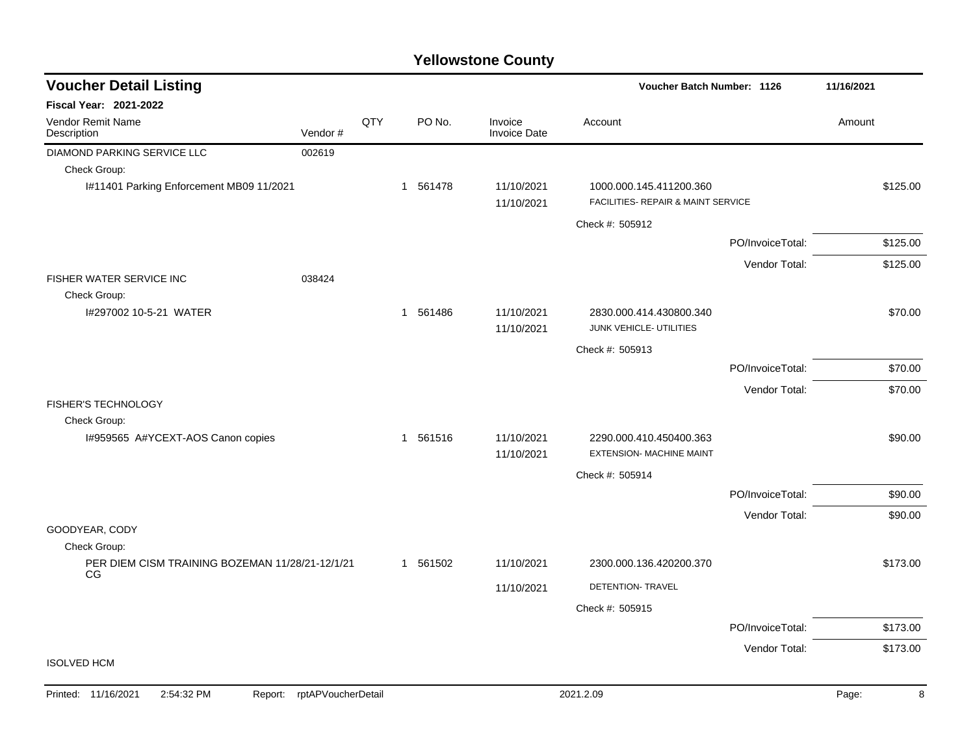| <b>Voucher Detail Listing</b>                                |         |     |          |                                | Voucher Batch Number: 1126                                    |                  | 11/16/2021 |  |
|--------------------------------------------------------------|---------|-----|----------|--------------------------------|---------------------------------------------------------------|------------------|------------|--|
| Fiscal Year: 2021-2022                                       |         |     |          |                                |                                                               |                  |            |  |
| <b>Vendor Remit Name</b><br>Description                      | Vendor# | QTY | PO No.   | Invoice<br><b>Invoice Date</b> | Account                                                       |                  | Amount     |  |
| DIAMOND PARKING SERVICE LLC                                  | 002619  |     |          |                                |                                                               |                  |            |  |
| Check Group:                                                 |         |     |          |                                |                                                               |                  |            |  |
| I#11401 Parking Enforcement MB09 11/2021                     |         |     | 1 561478 | 11/10/2021<br>11/10/2021       | 1000.000.145.411200.360<br>FACILITIES- REPAIR & MAINT SERVICE |                  | \$125.00   |  |
|                                                              |         |     |          |                                | Check #: 505912                                               |                  |            |  |
|                                                              |         |     |          |                                |                                                               | PO/InvoiceTotal: | \$125.00   |  |
|                                                              |         |     |          |                                |                                                               | Vendor Total:    | \$125.00   |  |
| FISHER WATER SERVICE INC<br>Check Group:                     | 038424  |     |          |                                |                                                               |                  |            |  |
| I#297002 10-5-21 WATER                                       |         |     | 1 561486 | 11/10/2021<br>11/10/2021       | 2830.000.414.430800.340<br>JUNK VEHICLE- UTILITIES            |                  | \$70.00    |  |
|                                                              |         |     |          |                                | Check #: 505913                                               |                  |            |  |
|                                                              |         |     |          |                                |                                                               | PO/InvoiceTotal: | \$70.00    |  |
|                                                              |         |     |          |                                |                                                               | Vendor Total:    | \$70.00    |  |
| <b>FISHER'S TECHNOLOGY</b>                                   |         |     |          |                                |                                                               |                  |            |  |
| Check Group:                                                 |         |     |          |                                |                                                               |                  |            |  |
| I#959565 A#YCEXT-AOS Canon copies                            |         |     | 1 561516 | 11/10/2021<br>11/10/2021       | 2290.000.410.450400.363<br>EXTENSION- MACHINE MAINT           |                  | \$90.00    |  |
|                                                              |         |     |          |                                | Check #: 505914                                               |                  |            |  |
|                                                              |         |     |          |                                |                                                               | PO/InvoiceTotal: | \$90.00    |  |
| GOODYEAR, CODY                                               |         |     |          |                                |                                                               | Vendor Total:    | \$90.00    |  |
| Check Group:                                                 |         |     |          |                                |                                                               |                  |            |  |
| PER DIEM CISM TRAINING BOZEMAN 11/28/21-12/1/21<br><b>CG</b> |         |     | 1 561502 | 11/10/2021                     | 2300.000.136.420200.370                                       |                  | \$173.00   |  |
|                                                              |         |     |          | 11/10/2021                     | DETENTION- TRAVEL                                             |                  |            |  |
|                                                              |         |     |          |                                | Check #: 505915                                               |                  |            |  |
|                                                              |         |     |          |                                |                                                               | PO/InvoiceTotal: | \$173.00   |  |
|                                                              |         |     |          |                                |                                                               | Vendor Total:    | \$173.00   |  |
| <b>ISOLVED HCM</b>                                           |         |     |          |                                |                                                               |                  |            |  |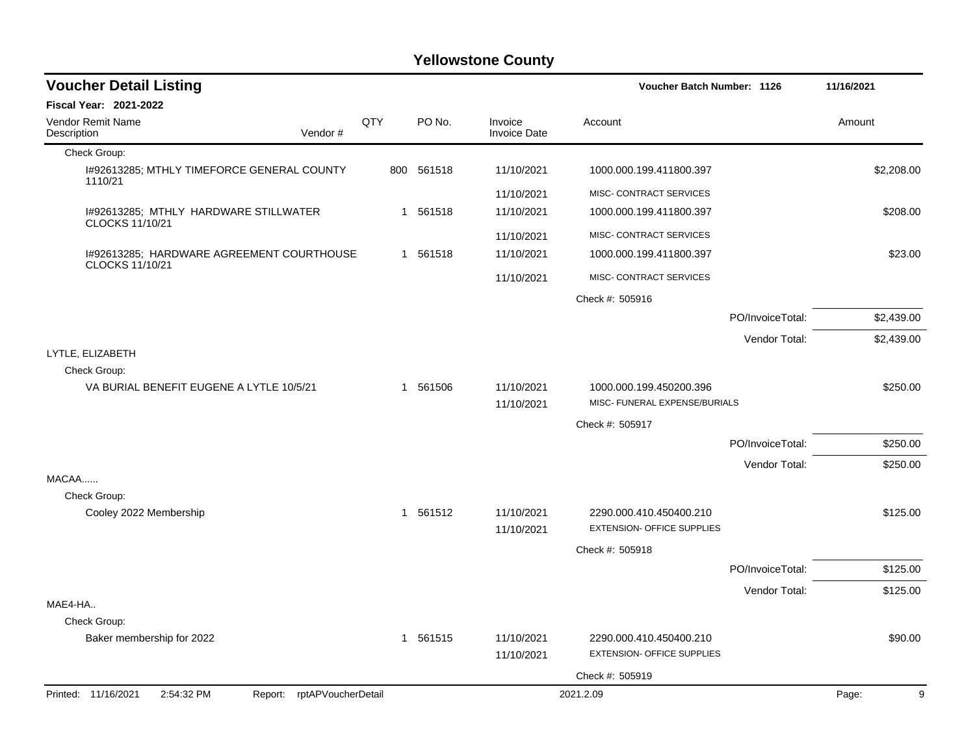| <b>Voucher Detail Listing</b>                                   |     |            |                                | Voucher Batch Number: 1126                                   |                  | 11/16/2021 |
|-----------------------------------------------------------------|-----|------------|--------------------------------|--------------------------------------------------------------|------------------|------------|
| <b>Fiscal Year: 2021-2022</b>                                   |     |            |                                |                                                              |                  |            |
| Vendor Remit Name<br>Description<br>Vendor#                     | QTY | PO No.     | Invoice<br><b>Invoice Date</b> | Account                                                      |                  | Amount     |
| Check Group:                                                    |     |            |                                |                                                              |                  |            |
| 1#92613285; MTHLY TIMEFORCE GENERAL COUNTY<br>1110/21           |     | 800 561518 | 11/10/2021                     | 1000.000.199.411800.397                                      |                  | \$2,208.00 |
|                                                                 |     |            | 11/10/2021                     | MISC- CONTRACT SERVICES                                      |                  |            |
| I#92613285; MTHLY HARDWARE STILLWATER<br>CLOCKS 11/10/21        |     | 1 561518   | 11/10/2021                     | 1000.000.199.411800.397                                      |                  | \$208.00   |
|                                                                 |     |            | 11/10/2021                     | MISC- CONTRACT SERVICES                                      |                  |            |
| I#92613285; HARDWARE AGREEMENT COURTHOUSE<br>CLOCKS 11/10/21    |     | 1 561518   | 11/10/2021                     | 1000.000.199.411800.397                                      |                  | \$23.00    |
|                                                                 |     |            | 11/10/2021                     | MISC- CONTRACT SERVICES                                      |                  |            |
|                                                                 |     |            |                                | Check #: 505916                                              |                  |            |
|                                                                 |     |            |                                |                                                              | PO/InvoiceTotal: | \$2,439.00 |
|                                                                 |     |            |                                |                                                              | Vendor Total:    | \$2,439.00 |
| LYTLE, ELIZABETH                                                |     |            |                                |                                                              |                  |            |
| Check Group:<br>VA BURIAL BENEFIT EUGENE A LYTLE 10/5/21        |     | 1 561506   | 11/10/2021<br>11/10/2021       | 1000.000.199.450200.396<br>MISC- FUNERAL EXPENSE/BURIALS     |                  | \$250.00   |
|                                                                 |     |            |                                | Check #: 505917                                              |                  |            |
|                                                                 |     |            |                                |                                                              | PO/InvoiceTotal: | \$250.00   |
|                                                                 |     |            |                                |                                                              | Vendor Total:    | \$250.00   |
| MACAA                                                           |     |            |                                |                                                              |                  |            |
| Check Group:                                                    |     |            |                                |                                                              |                  |            |
| Cooley 2022 Membership                                          |     | 1 561512   | 11/10/2021<br>11/10/2021       | 2290.000.410.450400.210<br><b>EXTENSION- OFFICE SUPPLIES</b> |                  | \$125.00   |
|                                                                 |     |            |                                | Check #: 505918                                              |                  |            |
|                                                                 |     |            |                                |                                                              | PO/InvoiceTotal: | \$125.00   |
|                                                                 |     |            |                                |                                                              | Vendor Total:    | \$125.00   |
| MAE4-HA                                                         |     |            |                                |                                                              |                  |            |
| Check Group:                                                    |     |            |                                |                                                              |                  |            |
| Baker membership for 2022                                       |     | 1 561515   | 11/10/2021<br>11/10/2021       | 2290.000.410.450400.210<br><b>EXTENSION- OFFICE SUPPLIES</b> |                  | \$90.00    |
|                                                                 |     |            |                                | Check #: 505919                                              |                  |            |
| Printed: 11/16/2021<br>2:54:32 PM<br>Report: rptAPVoucherDetail |     |            |                                | 2021.2.09                                                    |                  | Page:<br>9 |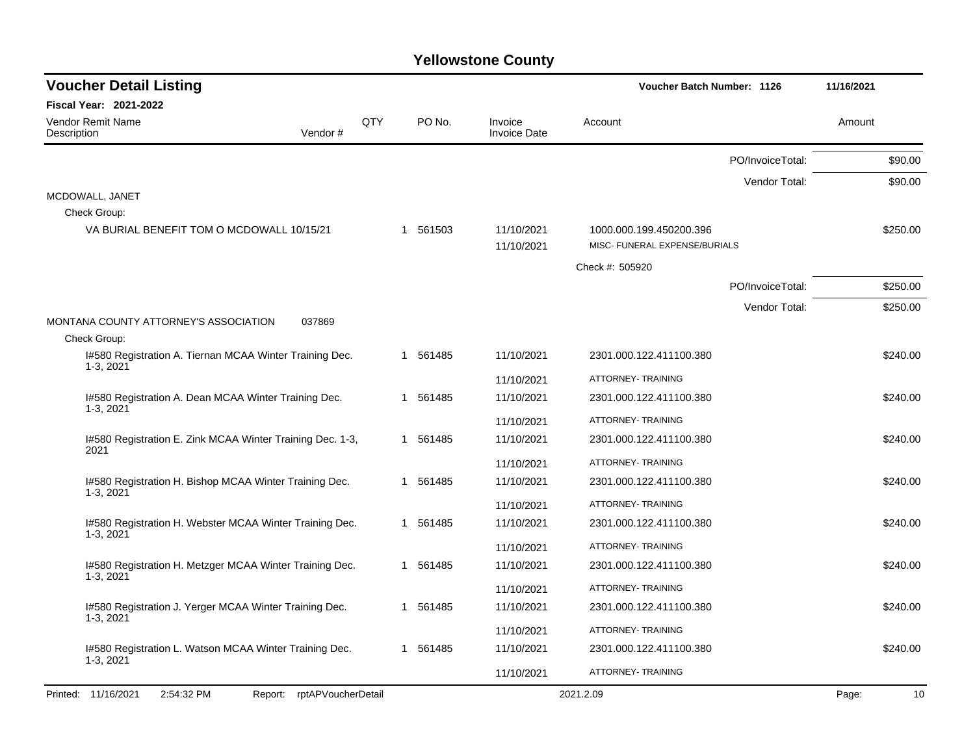| <b>Voucher Detail Listing</b>                                        |     |          |                                | Voucher Batch Number: 1126                               |                  | 11/16/2021  |
|----------------------------------------------------------------------|-----|----------|--------------------------------|----------------------------------------------------------|------------------|-------------|
| Fiscal Year: 2021-2022                                               |     |          |                                |                                                          |                  |             |
| <b>Vendor Remit Name</b><br>Description<br>Vendor#                   | QTY | PO No.   | Invoice<br><b>Invoice Date</b> | Account                                                  |                  | Amount      |
|                                                                      |     |          |                                |                                                          | PO/InvoiceTotal: | \$90.00     |
|                                                                      |     |          |                                |                                                          | Vendor Total:    | \$90.00     |
| MCDOWALL, JANET                                                      |     |          |                                |                                                          |                  |             |
| Check Group:                                                         |     |          |                                |                                                          |                  |             |
| VA BURIAL BENEFIT TOM O MCDOWALL 10/15/21                            |     | 1 561503 | 11/10/2021<br>11/10/2021       | 1000.000.199.450200.396<br>MISC- FUNERAL EXPENSE/BURIALS |                  | \$250.00    |
|                                                                      |     |          |                                | Check #: 505920                                          |                  |             |
|                                                                      |     |          |                                |                                                          | PO/InvoiceTotal: | \$250.00    |
|                                                                      |     |          |                                |                                                          | Vendor Total:    | \$250.00    |
| MONTANA COUNTY ATTORNEY'S ASSOCIATION<br>037869                      |     |          |                                |                                                          |                  |             |
| Check Group:                                                         |     |          |                                |                                                          |                  |             |
| I#580 Registration A. Tiernan MCAA Winter Training Dec.<br>1-3, 2021 |     | 1 561485 | 11/10/2021                     | 2301.000.122.411100.380                                  |                  | \$240.00    |
|                                                                      |     |          | 11/10/2021                     | ATTORNEY- TRAINING                                       |                  |             |
| I#580 Registration A. Dean MCAA Winter Training Dec.<br>1-3, 2021    |     | 1 561485 | 11/10/2021                     | 2301.000.122.411100.380                                  |                  | \$240.00    |
|                                                                      |     |          | 11/10/2021                     | ATTORNEY- TRAINING                                       |                  |             |
| I#580 Registration E. Zink MCAA Winter Training Dec. 1-3,<br>2021    |     | 1 561485 | 11/10/2021                     | 2301.000.122.411100.380                                  |                  | \$240.00    |
|                                                                      |     |          | 11/10/2021                     | ATTORNEY- TRAINING                                       |                  |             |
| I#580 Registration H. Bishop MCAA Winter Training Dec.               |     | 1 561485 | 11/10/2021                     | 2301.000.122.411100.380                                  |                  | \$240.00    |
| 1-3, 2021                                                            |     |          | 11/10/2021                     | ATTORNEY- TRAINING                                       |                  |             |
| I#580 Registration H. Webster MCAA Winter Training Dec.              |     | 1 561485 | 11/10/2021                     | 2301.000.122.411100.380                                  |                  | \$240.00    |
| 1-3, 2021                                                            |     |          | 11/10/2021                     | ATTORNEY- TRAINING                                       |                  |             |
| I#580 Registration H. Metzger MCAA Winter Training Dec.              |     | 1 561485 | 11/10/2021                     | 2301.000.122.411100.380                                  |                  | \$240.00    |
| 1-3, 2021                                                            |     |          | 11/10/2021                     | ATTORNEY- TRAINING                                       |                  |             |
| I#580 Registration J. Yerger MCAA Winter Training Dec.               |     | 1 561485 | 11/10/2021                     | 2301.000.122.411100.380                                  |                  | \$240.00    |
| 1-3, 2021                                                            |     |          | 11/10/2021                     | ATTORNEY- TRAINING                                       |                  |             |
| I#580 Registration L. Watson MCAA Winter Training Dec.               |     | 1 561485 | 11/10/2021                     | 2301.000.122.411100.380                                  |                  | \$240.00    |
| 1-3, 2021                                                            |     |          | 11/10/2021                     | ATTORNEY- TRAINING                                       |                  |             |
| Printed: 11/16/2021<br>2:54:32 PM<br>Report: rptAPVoucherDetail      |     |          |                                | 2021.2.09                                                |                  | 10<br>Page: |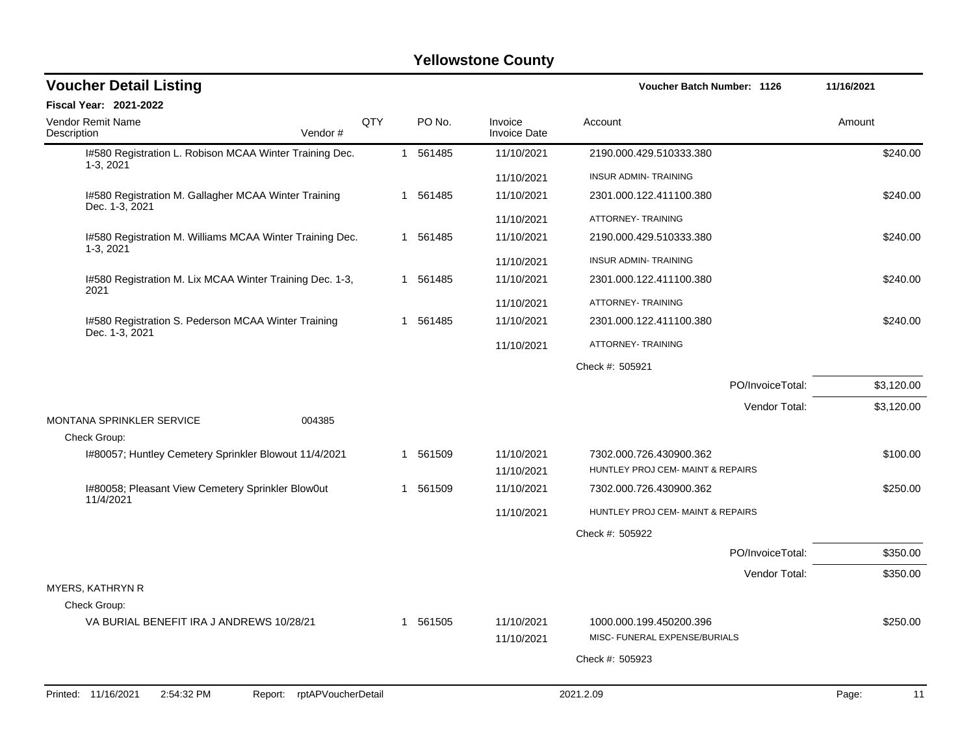| <b>Voucher Detail Listing</b>                                           |     |          |                                | <b>Voucher Batch Number: 1126</b>                        | 11/16/2021  |
|-------------------------------------------------------------------------|-----|----------|--------------------------------|----------------------------------------------------------|-------------|
| Fiscal Year: 2021-2022                                                  |     |          |                                |                                                          |             |
| Vendor Remit Name<br>Description<br>Vendor#                             | QTY | PO No.   | Invoice<br><b>Invoice Date</b> | Account                                                  | Amount      |
| I#580 Registration L. Robison MCAA Winter Training Dec.<br>1-3, 2021    |     | 1 561485 | 11/10/2021                     | 2190.000.429.510333.380                                  | \$240.00    |
|                                                                         |     |          | 11/10/2021                     | <b>INSUR ADMIN- TRAINING</b>                             |             |
| I#580 Registration M. Gallagher MCAA Winter Training<br>Dec. 1-3, 2021  |     | 1 561485 | 11/10/2021                     | 2301.000.122.411100.380                                  | \$240.00    |
|                                                                         |     |          | 11/10/2021                     | ATTORNEY- TRAINING                                       |             |
| I#580 Registration M. Williams MCAA Winter Training Dec.<br>$1-3, 2021$ |     | 1 561485 | 11/10/2021                     | 2190.000.429.510333.380                                  | \$240.00    |
|                                                                         |     |          | 11/10/2021                     | <b>INSUR ADMIN- TRAINING</b>                             |             |
| I#580 Registration M. Lix MCAA Winter Training Dec. 1-3,<br>2021        |     | 1 561485 | 11/10/2021                     | 2301.000.122.411100.380                                  | \$240.00    |
|                                                                         |     |          | 11/10/2021                     | ATTORNEY- TRAINING                                       |             |
| I#580 Registration S. Pederson MCAA Winter Training<br>Dec. 1-3, 2021   |     | 1 561485 | 11/10/2021                     | 2301.000.122.411100.380                                  | \$240.00    |
|                                                                         |     |          | 11/10/2021                     | ATTORNEY- TRAINING                                       |             |
|                                                                         |     |          |                                | Check #: 505921                                          |             |
|                                                                         |     |          |                                | PO/InvoiceTotal:                                         | \$3,120.00  |
|                                                                         |     |          |                                | Vendor Total:                                            | \$3,120.00  |
| MONTANA SPRINKLER SERVICE<br>004385<br>Check Group:                     |     |          |                                |                                                          |             |
| I#80057; Huntley Cemetery Sprinkler Blowout 11/4/2021                   |     | 1 561509 | 11/10/2021                     | 7302.000.726.430900.362                                  | \$100.00    |
|                                                                         |     |          | 11/10/2021                     | HUNTLEY PROJ CEM- MAINT & REPAIRS                        |             |
| I#80058; Pleasant View Cemetery Sprinkler Blow0ut<br>11/4/2021          |     | 1 561509 | 11/10/2021                     | 7302.000.726.430900.362                                  | \$250.00    |
|                                                                         |     |          | 11/10/2021                     | HUNTLEY PROJ CEM- MAINT & REPAIRS                        |             |
|                                                                         |     |          |                                | Check #: 505922                                          |             |
|                                                                         |     |          |                                | PO/InvoiceTotal:                                         | \$350.00    |
|                                                                         |     |          |                                | Vendor Total:                                            | \$350.00    |
| <b>MYERS, KATHRYN R</b>                                                 |     |          |                                |                                                          |             |
| Check Group:                                                            |     |          |                                |                                                          |             |
| VA BURIAL BENEFIT IRA J ANDREWS 10/28/21                                |     | 1 561505 | 11/10/2021<br>11/10/2021       | 1000.000.199.450200.396<br>MISC- FUNERAL EXPENSE/BURIALS | \$250.00    |
|                                                                         |     |          |                                | Check #: 505923                                          |             |
|                                                                         |     |          |                                |                                                          |             |
| rptAPVoucherDetail<br>Printed: 11/16/2021<br>2:54:32 PM<br>Report:      |     |          |                                | 2021.2.09                                                | Page:<br>11 |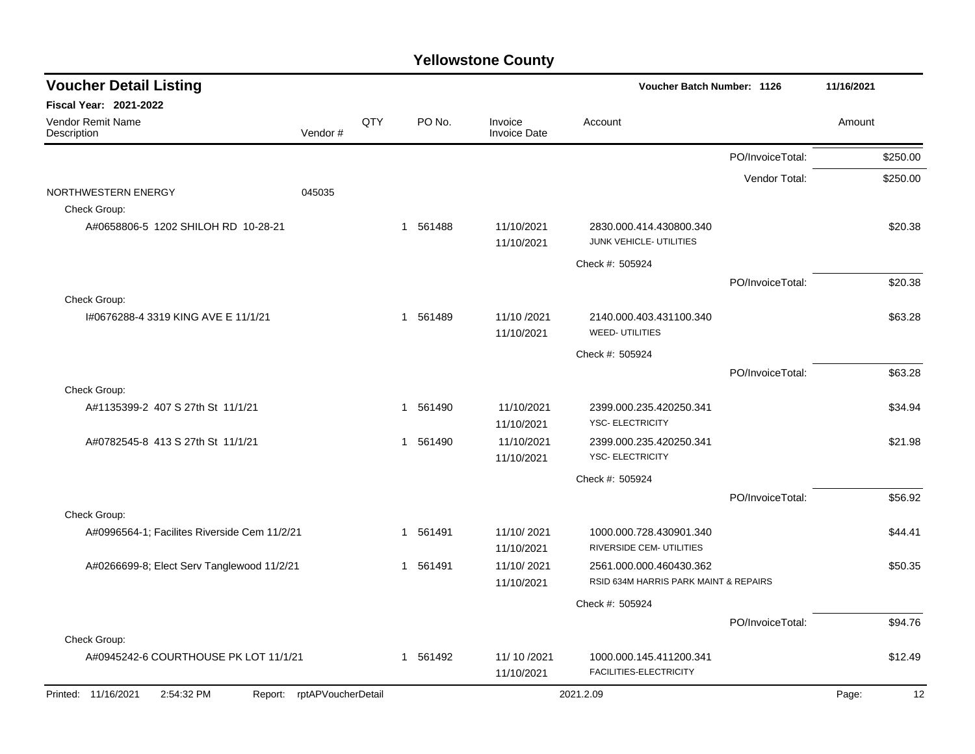| <b>Voucher Detail Listing</b>                |         |     |          |                                | <b>Voucher Batch Number: 1126</b>                                |                  | 11/16/2021 |
|----------------------------------------------|---------|-----|----------|--------------------------------|------------------------------------------------------------------|------------------|------------|
| Fiscal Year: 2021-2022                       |         |     |          |                                |                                                                  |                  |            |
| Vendor Remit Name<br>Description             | Vendor# | QTY | PO No.   | Invoice<br><b>Invoice Date</b> | Account                                                          |                  | Amount     |
|                                              |         |     |          |                                |                                                                  | PO/InvoiceTotal: | \$250.00   |
|                                              |         |     |          |                                |                                                                  | Vendor Total:    | \$250.00   |
| NORTHWESTERN ENERGY                          | 045035  |     |          |                                |                                                                  |                  |            |
| Check Group:                                 |         |     |          |                                |                                                                  |                  |            |
| A#0658806-5 1202 SHILOH RD 10-28-21          |         |     | 1 561488 | 11/10/2021<br>11/10/2021       | 2830.000.414.430800.340<br>JUNK VEHICLE- UTILITIES               |                  | \$20.38    |
|                                              |         |     |          |                                | Check #: 505924                                                  |                  |            |
|                                              |         |     |          |                                |                                                                  | PO/InvoiceTotal: | \$20.38    |
| Check Group:                                 |         |     |          |                                |                                                                  |                  |            |
| I#0676288-4 3319 KING AVE E 11/1/21          |         |     | 1 561489 | 11/10 /2021<br>11/10/2021      | 2140.000.403.431100.340<br><b>WEED- UTILITIES</b>                |                  | \$63.28    |
|                                              |         |     |          |                                | Check #: 505924                                                  |                  |            |
|                                              |         |     |          |                                |                                                                  | PO/InvoiceTotal: | \$63.28    |
| Check Group:                                 |         |     |          |                                |                                                                  |                  |            |
| A#1135399-2 407 S 27th St 11/1/21            |         |     | 1 561490 | 11/10/2021<br>11/10/2021       | 2399.000.235.420250.341<br>YSC- ELECTRICITY                      |                  | \$34.94    |
| A#0782545-8 413 S 27th St 11/1/21            |         |     | 1 561490 | 11/10/2021<br>11/10/2021       | 2399.000.235.420250.341<br>YSC-ELECTRICITY                       |                  | \$21.98    |
|                                              |         |     |          |                                | Check #: 505924                                                  |                  |            |
|                                              |         |     |          |                                |                                                                  | PO/InvoiceTotal: | \$56.92    |
| Check Group:                                 |         |     |          |                                |                                                                  |                  |            |
| A#0996564-1; Facilites Riverside Cem 11/2/21 |         |     | 1 561491 | 11/10/2021<br>11/10/2021       | 1000.000.728.430901.340<br>RIVERSIDE CEM- UTILITIES              |                  | \$44.41    |
| A#0266699-8; Elect Serv Tanglewood 11/2/21   |         |     | 1 561491 | 11/10/2021<br>11/10/2021       | 2561.000.000.460430.362<br>RSID 634M HARRIS PARK MAINT & REPAIRS |                  | \$50.35    |
|                                              |         |     |          |                                | Check #: 505924                                                  |                  |            |
|                                              |         |     |          |                                |                                                                  | PO/InvoiceTotal: | \$94.76    |
| Check Group:                                 |         |     |          |                                |                                                                  |                  |            |
| A#0945242-6 COURTHOUSE PK LOT 11/1/21        |         |     | 1 561492 | 11/ 10 / 2021                  | 1000.000.145.411200.341                                          |                  | \$12.49    |
|                                              |         |     |          | 11/10/2021                     | FACILITIES-ELECTRICITY                                           |                  |            |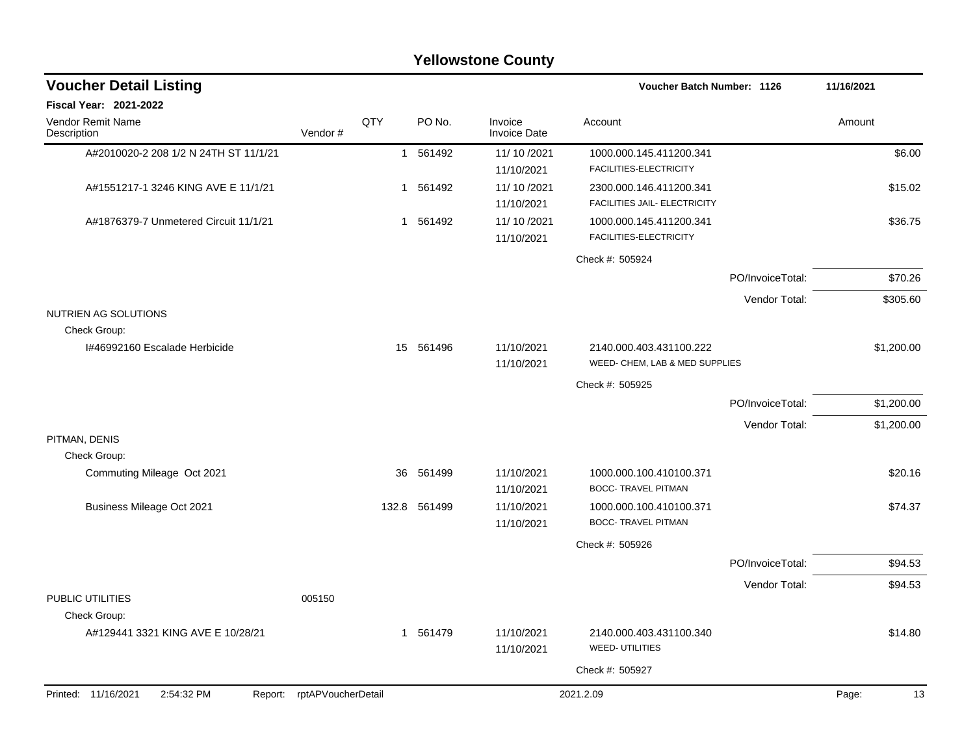|                                              |                    |              |              | <b>Yellowstone County</b>      |                                                           |                  |             |
|----------------------------------------------|--------------------|--------------|--------------|--------------------------------|-----------------------------------------------------------|------------------|-------------|
| <b>Voucher Detail Listing</b>                |                    |              |              |                                | Voucher Batch Number: 1126                                |                  | 11/16/2021  |
| <b>Fiscal Year: 2021-2022</b>                |                    |              |              |                                |                                                           |                  |             |
| <b>Vendor Remit Name</b><br>Description      | Vendor#            | QTY          | PO No.       | Invoice<br><b>Invoice Date</b> | Account                                                   |                  | Amount      |
| A#2010020-2 208 1/2 N 24TH ST 11/1/21        |                    |              | 1 561492     | 11/10/2021<br>11/10/2021       | 1000.000.145.411200.341<br>FACILITIES-ELECTRICITY         |                  | \$6.00      |
| A#1551217-1 3246 KING AVE E 11/1/21          |                    | $\mathbf{1}$ | 561492       | 11/10/2021<br>11/10/2021       | 2300.000.146.411200.341<br>FACILITIES JAIL- ELECTRICITY   |                  | \$15.02     |
| A#1876379-7 Unmetered Circuit 11/1/21        |                    |              | 1 561492     | 11/10/2021<br>11/10/2021       | 1000.000.145.411200.341<br>FACILITIES-ELECTRICITY         |                  | \$36.75     |
|                                              |                    |              |              |                                | Check #: 505924                                           |                  |             |
|                                              |                    |              |              |                                |                                                           | PO/InvoiceTotal: | \$70.26     |
| NUTRIEN AG SOLUTIONS                         |                    |              |              |                                |                                                           | Vendor Total:    | \$305.60    |
| Check Group:                                 |                    |              |              |                                |                                                           |                  |             |
| 1#46992160 Escalade Herbicide                |                    | 15           | 561496       | 11/10/2021<br>11/10/2021       | 2140.000.403.431100.222<br>WEED- CHEM, LAB & MED SUPPLIES |                  | \$1,200.00  |
|                                              |                    |              |              |                                | Check #: 505925                                           |                  |             |
|                                              |                    |              |              |                                |                                                           | PO/InvoiceTotal: | \$1,200.00  |
|                                              |                    |              |              |                                |                                                           | Vendor Total:    | \$1,200.00  |
| PITMAN, DENIS                                |                    |              |              |                                |                                                           |                  |             |
| Check Group:<br>Commuting Mileage Oct 2021   |                    | 36           | 561499       | 11/10/2021<br>11/10/2021       | 1000.000.100.410100.371<br><b>BOCC- TRAVEL PITMAN</b>     |                  | \$20.16     |
| <b>Business Mileage Oct 2021</b>             |                    |              | 132.8 561499 | 11/10/2021<br>11/10/2021       | 1000.000.100.410100.371<br><b>BOCC- TRAVEL PITMAN</b>     |                  | \$74.37     |
|                                              |                    |              |              |                                | Check #: 505926                                           |                  |             |
|                                              |                    |              |              |                                |                                                           | PO/InvoiceTotal: | \$94.53     |
|                                              |                    |              |              |                                |                                                           | Vendor Total:    | \$94.53     |
| PUBLIC UTILITIES<br>Check Group:             | 005150             |              |              |                                |                                                           |                  |             |
| A#129441 3321 KING AVE E 10/28/21            |                    |              | 1 561479     | 11/10/2021<br>11/10/2021       | 2140.000.403.431100.340<br><b>WEED-UTILITIES</b>          |                  | \$14.80     |
|                                              |                    |              |              |                                | Check #: 505927                                           |                  |             |
| Printed: 11/16/2021<br>2:54:32 PM<br>Report: | rptAPVoucherDetail |              |              |                                | 2021.2.09                                                 |                  | Page:<br>13 |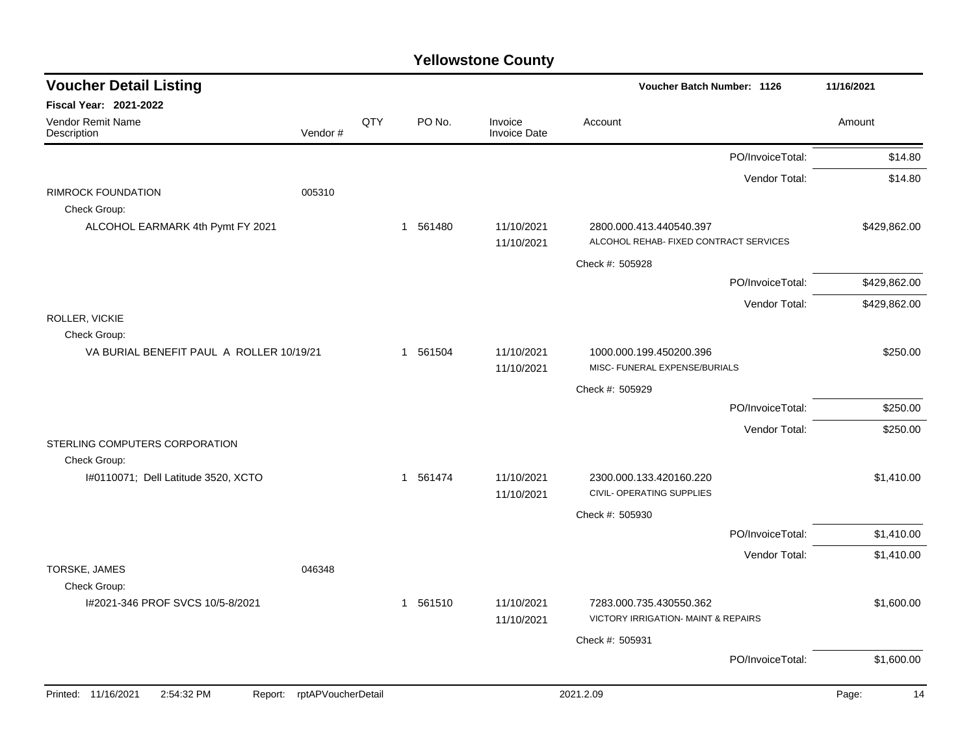| <b>Voucher Detail Listing</b>                    |                    |     |                        |                                | Voucher Batch Number: 1126                                                |                  | 11/16/2021   |
|--------------------------------------------------|--------------------|-----|------------------------|--------------------------------|---------------------------------------------------------------------------|------------------|--------------|
| <b>Fiscal Year: 2021-2022</b>                    |                    |     |                        |                                |                                                                           |                  |              |
| Vendor Remit Name<br>Description                 | Vendor#            | QTY | PO No.                 | Invoice<br><b>Invoice Date</b> | Account                                                                   |                  | Amount       |
|                                                  |                    |     |                        |                                |                                                                           | PO/InvoiceTotal: | \$14.80      |
|                                                  |                    |     |                        |                                |                                                                           | Vendor Total:    | \$14.80      |
| <b>RIMROCK FOUNDATION</b><br>Check Group:        | 005310             |     |                        |                                |                                                                           |                  |              |
| ALCOHOL EARMARK 4th Pymt FY 2021                 |                    |     | 561480<br>$\mathbf{1}$ | 11/10/2021<br>11/10/2021       | 2800.000.413.440540.397<br>ALCOHOL REHAB- FIXED CONTRACT SERVICES         |                  | \$429,862.00 |
|                                                  |                    |     |                        |                                | Check #: 505928                                                           |                  |              |
|                                                  |                    |     |                        |                                |                                                                           | PO/InvoiceTotal: | \$429,862.00 |
|                                                  |                    |     |                        |                                |                                                                           | Vendor Total:    | \$429,862.00 |
| ROLLER, VICKIE<br>Check Group:                   |                    |     |                        |                                |                                                                           |                  |              |
| VA BURIAL BENEFIT PAUL A ROLLER 10/19/21         |                    |     | 1 561504               | 11/10/2021<br>11/10/2021       | 1000.000.199.450200.396<br>MISC- FUNERAL EXPENSE/BURIALS                  |                  | \$250.00     |
|                                                  |                    |     |                        |                                | Check #: 505929                                                           |                  |              |
|                                                  |                    |     |                        |                                |                                                                           | PO/InvoiceTotal: | \$250.00     |
|                                                  |                    |     |                        |                                |                                                                           | Vendor Total:    | \$250.00     |
| STERLING COMPUTERS CORPORATION<br>Check Group:   |                    |     |                        |                                |                                                                           |                  |              |
| I#0110071; Dell Latitude 3520, XCTO              |                    |     | 1 561474               | 11/10/2021<br>11/10/2021       | 2300.000.133.420160.220<br>CIVIL- OPERATING SUPPLIES                      |                  | \$1,410.00   |
|                                                  |                    |     |                        |                                | Check #: 505930                                                           |                  |              |
|                                                  |                    |     |                        |                                |                                                                           | PO/InvoiceTotal: | \$1,410.00   |
|                                                  |                    |     |                        |                                |                                                                           | Vendor Total:    | \$1,410.00   |
| TORSKE, JAMES                                    | 046348             |     |                        |                                |                                                                           |                  |              |
| Check Group:<br>I#2021-346 PROF SVCS 10/5-8/2021 |                    |     | 1 561510               | 11/10/2021<br>11/10/2021       | 7283.000.735.430550.362<br><b>VICTORY IRRIGATION- MAINT &amp; REPAIRS</b> |                  | \$1,600.00   |
|                                                  |                    |     |                        |                                | Check #: 505931                                                           |                  |              |
|                                                  |                    |     |                        |                                |                                                                           | PO/InvoiceTotal: | \$1,600.00   |
| Printed: 11/16/2021<br>2:54:32 PM<br>Report:     | rptAPVoucherDetail |     |                        |                                | 2021.2.09                                                                 |                  | Page:<br>14  |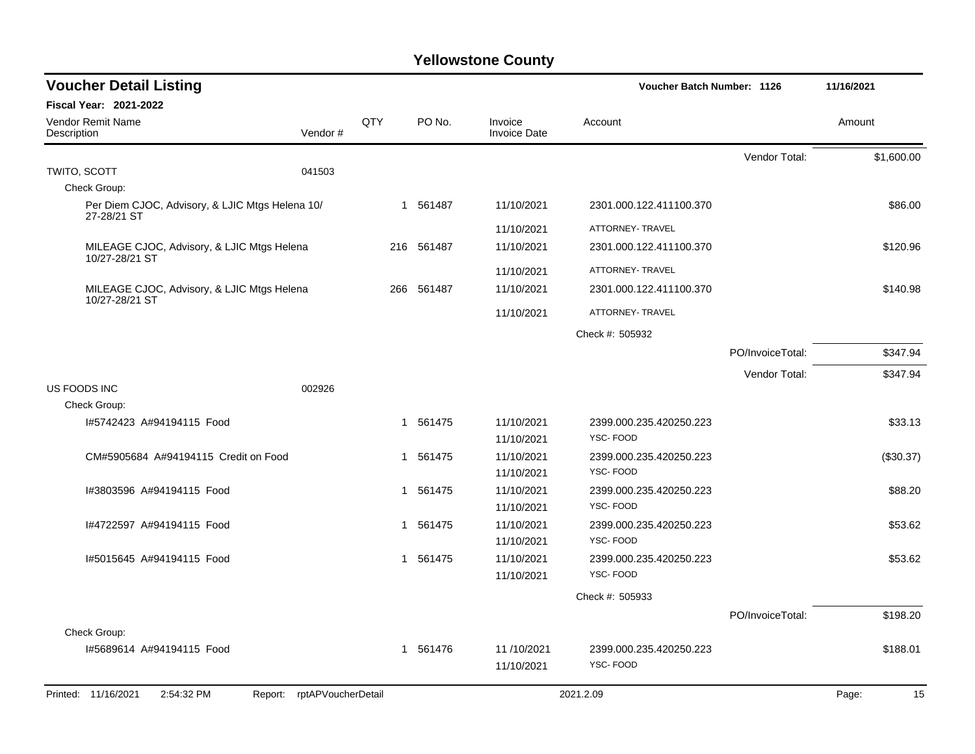| <b>Voucher Detail Listing</b>                                   |                |            |                                | Voucher Batch Number: 1126          |                  | 11/16/2021  |
|-----------------------------------------------------------------|----------------|------------|--------------------------------|-------------------------------------|------------------|-------------|
| <b>Fiscal Year: 2021-2022</b>                                   |                |            |                                |                                     |                  |             |
| Vendor Remit Name<br>Description                                | QTY<br>Vendor# | PO No.     | Invoice<br><b>Invoice Date</b> | Account                             |                  | Amount      |
|                                                                 |                |            |                                |                                     | Vendor Total:    | \$1,600.00  |
| TWITO, SCOTT<br>041503                                          |                |            |                                |                                     |                  |             |
| Check Group:                                                    |                |            |                                |                                     |                  |             |
| Per Diem CJOC, Advisory, & LJIC Mtgs Helena 10/<br>27-28/21 ST  |                | 1 561487   | 11/10/2021                     | 2301.000.122.411100.370             |                  | \$86.00     |
|                                                                 |                |            | 11/10/2021                     | ATTORNEY- TRAVEL                    |                  |             |
| MILEAGE CJOC, Advisory, & LJIC Mtgs Helena                      |                | 216 561487 | 11/10/2021                     | 2301.000.122.411100.370             |                  | \$120.96    |
| 10/27-28/21 ST                                                  |                |            | 11/10/2021                     | ATTORNEY- TRAVEL                    |                  |             |
| MILEAGE CJOC, Advisory, & LJIC Mtgs Helena                      | 266            | 561487     | 11/10/2021                     | 2301.000.122.411100.370             |                  | \$140.98    |
| 10/27-28/21 ST                                                  |                |            | 11/10/2021                     | ATTORNEY- TRAVEL                    |                  |             |
|                                                                 |                |            |                                | Check #: 505932                     |                  |             |
|                                                                 |                |            |                                |                                     | PO/InvoiceTotal: | \$347.94    |
|                                                                 |                |            |                                |                                     | Vendor Total:    | \$347.94    |
| US FOODS INC<br>002926                                          |                |            |                                |                                     |                  |             |
| Check Group:                                                    |                |            |                                |                                     |                  |             |
| I#5742423 A#94194115 Food                                       |                | 1 561475   | 11/10/2021                     | 2399.000.235.420250.223             |                  | \$33.13     |
|                                                                 |                |            | 11/10/2021                     | YSC-FOOD                            |                  |             |
| CM#5905684 A#94194115 Credit on Food                            |                | 1 561475   | 11/10/2021                     | 2399.000.235.420250.223             |                  | (\$30.37)   |
|                                                                 |                |            | 11/10/2021                     | YSC-FOOD                            |                  |             |
| I#3803596 A#94194115 Food                                       |                | 1 561475   | 11/10/2021                     | 2399.000.235.420250.223<br>YSC-FOOD |                  | \$88.20     |
|                                                                 |                |            | 11/10/2021                     |                                     |                  |             |
| I#4722597 A#94194115 Food                                       |                | 1 561475   | 11/10/2021<br>11/10/2021       | 2399.000.235.420250.223<br>YSC-FOOD |                  | \$53.62     |
| 1#5015645 A#94194115 Food                                       |                | 1 561475   | 11/10/2021                     | 2399.000.235.420250.223             |                  | \$53.62     |
|                                                                 |                |            | 11/10/2021                     | YSC-FOOD                            |                  |             |
|                                                                 |                |            |                                | Check #: 505933                     |                  |             |
|                                                                 |                |            |                                |                                     | PO/InvoiceTotal: | \$198.20    |
| Check Group:                                                    |                |            |                                |                                     |                  |             |
| 1#5689614 A#94194115 Food                                       |                | 1 561476   | 11/10/2021                     | 2399.000.235.420250.223             |                  | \$188.01    |
|                                                                 |                |            | 11/10/2021                     | YSC-FOOD                            |                  |             |
| Report: rptAPVoucherDetail<br>Printed: 11/16/2021<br>2:54:32 PM |                |            |                                | 2021.2.09                           |                  | Page:<br>15 |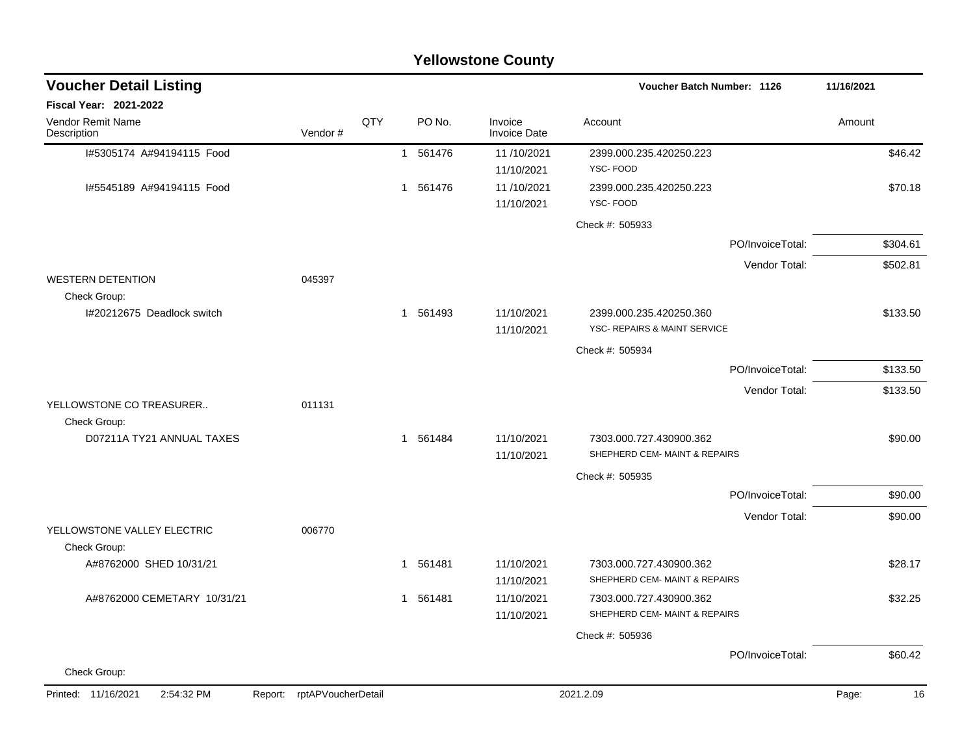| <b>Yellowstone County</b>                   |                            |     |                        |                                |                                                          |             |  |
|---------------------------------------------|----------------------------|-----|------------------------|--------------------------------|----------------------------------------------------------|-------------|--|
| <b>Voucher Detail Listing</b>               |                            |     |                        |                                | <b>Voucher Batch Number: 1126</b>                        | 11/16/2021  |  |
| Fiscal Year: 2021-2022                      |                            |     |                        |                                |                                                          |             |  |
| Vendor Remit Name<br>Description            | Vendor#                    | QTY | PO No.                 | Invoice<br><b>Invoice Date</b> | Account                                                  | Amount      |  |
| I#5305174 A#94194115 Food                   |                            |     | 1 561476               | 11/10/2021<br>11/10/2021       | 2399.000.235.420250.223<br>YSC-FOOD                      | \$46.42     |  |
| I#5545189 A#94194115 Food                   |                            |     | 561476<br>$\mathbf{1}$ | 11/10/2021<br>11/10/2021       | 2399.000.235.420250.223<br>YSC-FOOD                      | \$70.18     |  |
|                                             |                            |     |                        |                                | Check #: 505933                                          |             |  |
|                                             |                            |     |                        |                                | PO/InvoiceTotal:                                         | \$304.61    |  |
|                                             |                            |     |                        |                                | Vendor Total:                                            | \$502.81    |  |
| <b>WESTERN DETENTION</b><br>Check Group:    | 045397                     |     |                        |                                |                                                          |             |  |
| I#20212675 Deadlock switch                  |                            |     | 1 561493               | 11/10/2021                     | 2399.000.235.420250.360                                  | \$133.50    |  |
|                                             |                            |     |                        | 11/10/2021                     | YSC- REPAIRS & MAINT SERVICE                             |             |  |
|                                             |                            |     |                        |                                | Check #: 505934                                          |             |  |
|                                             |                            |     |                        |                                | PO/InvoiceTotal:                                         | \$133.50    |  |
| YELLOWSTONE CO TREASURER                    | 011131                     |     |                        |                                | Vendor Total:                                            | \$133.50    |  |
| Check Group:                                |                            |     |                        |                                |                                                          |             |  |
| D07211A TY21 ANNUAL TAXES                   |                            |     | 1 561484               | 11/10/2021<br>11/10/2021       | 7303.000.727.430900.362<br>SHEPHERD CEM- MAINT & REPAIRS | \$90.00     |  |
|                                             |                            |     |                        |                                | Check #: 505935                                          |             |  |
|                                             |                            |     |                        |                                | PO/InvoiceTotal:                                         | \$90.00     |  |
|                                             |                            |     |                        |                                | Vendor Total:                                            | \$90.00     |  |
| YELLOWSTONE VALLEY ELECTRIC<br>Check Group: | 006770                     |     |                        |                                |                                                          |             |  |
| A#8762000 SHED 10/31/21                     |                            |     | 561481<br>1            | 11/10/2021                     | 7303.000.727.430900.362                                  | \$28.17     |  |
|                                             |                            |     |                        | 11/10/2021                     | SHEPHERD CEM- MAINT & REPAIRS                            |             |  |
| A#8762000 CEMETARY 10/31/21                 |                            |     | 1 561481               | 11/10/2021<br>11/10/2021       | 7303.000.727.430900.362<br>SHEPHERD CEM- MAINT & REPAIRS | \$32.25     |  |
|                                             |                            |     |                        |                                | Check #: 505936                                          |             |  |
|                                             |                            |     |                        |                                | PO/InvoiceTotal:                                         | \$60.42     |  |
| Check Group:                                |                            |     |                        |                                |                                                          |             |  |
| Printed: 11/16/2021<br>2:54:32 PM           | Report: rptAPVoucherDetail |     |                        |                                | 2021.2.09                                                | Page:<br>16 |  |